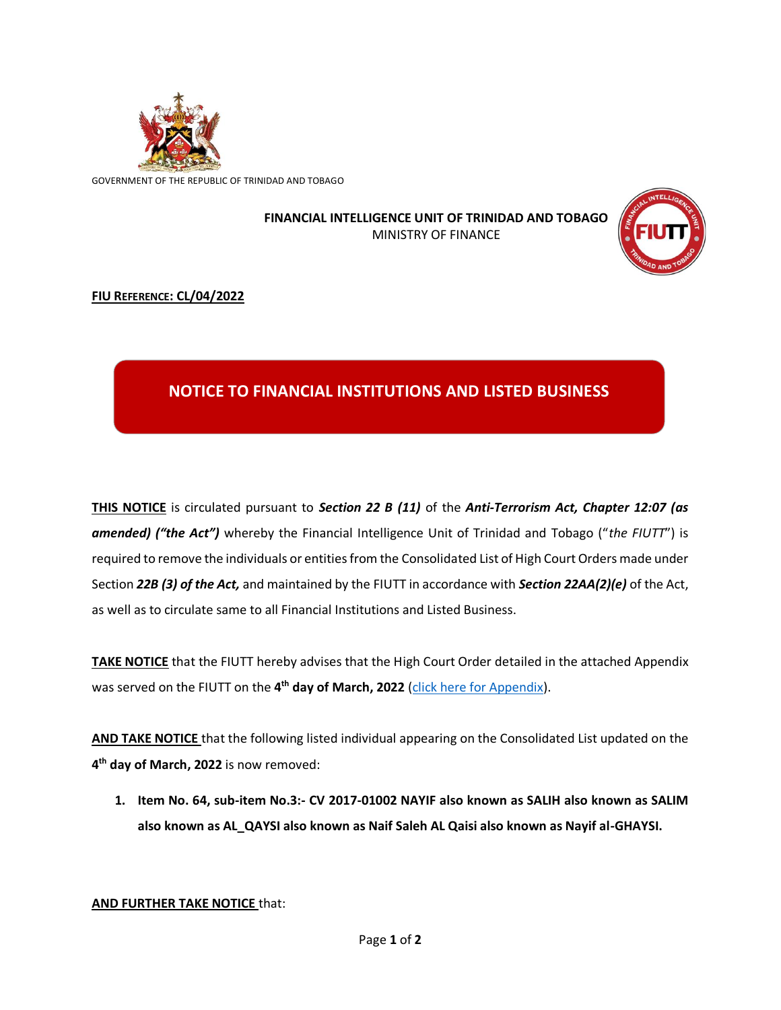

GOVERNMENT OF THE REPUBLIC OF TRINIDAD AND TOBAGO

## **FINANCIAL INTELLIGENCE UNIT OF TRINIDAD AND TOBAGO** MINISTRY OF FINANCE



## **FIU REFERENCE: CL/04/2022**

## **NOTICE TO FINANCIAL INSTITUTIONS AND LISTED BUSINESS**

**THIS NOTICE** is circulated pursuant to *Section 22 B (11)* of the *Anti-Terrorism Act, Chapter 12:07 (as amended) ("the Act")* whereby the Financial Intelligence Unit of Trinidad and Tobago ("*the FIUTT*") is required to remove the individuals or entities from the Consolidated List of High Court Orders made under Section *22B (3) of the Act,* and maintained by the FIUTT in accordance with *Section 22AA(2)(e)* of the Act, as well as to circulate same to all Financial Institutions and Listed Business.

**TAKE NOTICE** that the FIUTT hereby advises that the High Court Order detailed in the attached Appendix was served on the FIUTT on the **4 th day of March, 2022** [\(click here for Appendix\)](https://fiu.gov.tt/wp-content/uploads/4_MAR_2022-Appendix-Removal-of-Individual.pdf).

**AND TAKE NOTICE** that the following listed individual appearing on the Consolidated List updated on the **4 th day of March, 2022** is now removed:

**1. Item No. 64, sub-item No.3:- CV 2017-01002 NAYIF also known as SALIH also known as SALIM also known as AL\_QAYSI also known as Naif Saleh AL Qaisi also known as Nayif al-GHAYSI.**

**AND FURTHER TAKE NOTICE** that: